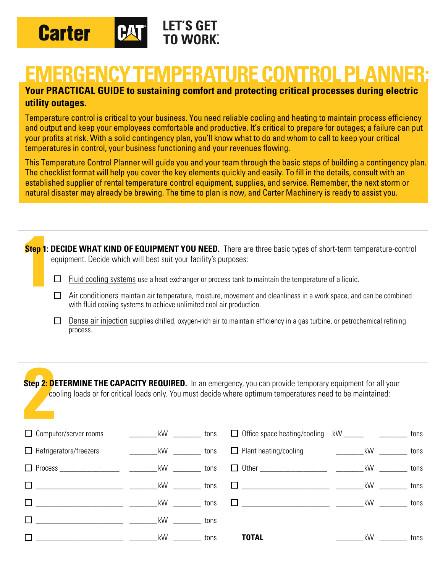

## **EMERGENCY TEMPERATURE CONTROL PLANNER:**

## **Your PRACTICAL GUIDE to sustaining comfort and protecting critical processes during electric utility outages.**

Temperature control is critical to your business. You need reliable cooling and heating to maintain process efficiency and output and keep your employees comfortable and productive. It's critical to prepare for outages; a failure can put your profits at risk. With a solid contingency plan, you'll know what to do and whom to call to keep your critical temperatures in control, your business functioning and your revenues flowing.

This Temperature Control Planner will guide you and your team through the basic steps of building a contingency plan. The checklist format will help you cover the key elements quickly and easily. To fill in the details, consult with an established supplier of rental temperature control equipment, supplies, and service. Remember, the next storm or natural disaster may already be brewing. The time to plan is now, and Carter Machinery is ready to assist you.

|  | Step 1: DECIDE WHAT KIND OF EQUIPMENT YOU NEED. There are three basic types of short-term temperature-control<br>equipment. Decide which will best suit your facility's purposes:          |
|--|--------------------------------------------------------------------------------------------------------------------------------------------------------------------------------------------|
|  | Fluid cooling systems use a heat exchanger or process tank to maintain the temperature of a liquid.                                                                                        |
|  | Air conditioners maintain air temperature, moisture, movement and cleanliness in a work space, and can be combined<br>with fluid cooling systems to achieve unlimited cool air production. |
|  | Dense air injection supplies chilled, oxygen-rich air to maintain efficiency in a gas turbine, or petrochemical refining<br>process.                                                       |
|  |                                                                                                                                                                                            |

**2** Step 2: DETERMINE THE CAPACITY REQUIRED. In an emergency, you can provide temporary equipment for all your cooling loads or for critical loads only. You must decide where optimum temperatures need to be maintained:

| $\Box$ Computer/server rooms                                                                                           | <b>EXAMPLE 18 NO REVENUE</b> tons                                                                               |      | □ Office space heating/cooling kW ________________________ tons |    |      |
|------------------------------------------------------------------------------------------------------------------------|-----------------------------------------------------------------------------------------------------------------|------|-----------------------------------------------------------------|----|------|
| $\Box$ Refrigerators/freezers                                                                                          | kW tons                                                                                                         |      | □ Plant heating/cooling and all kW __________ tons              |    |      |
| □ Process _______________________ tons                                                                                 |                                                                                                                 |      |                                                                 |    |      |
| kW tons                                                                                                                |                                                                                                                 |      |                                                                 |    | tons |
| <u>tons and the contract of the contract of the contract of the contract of the contract of the contract of the co</u> |                                                                                                                 |      |                                                                 |    |      |
|                                                                                                                        | kW and the set of the set of the set of the set of the set of the set of the set of the set of the set of the s | tons |                                                                 |    |      |
| <u>kW</u>                                                                                                              | <b>Example 10</b> tons                                                                                          |      | <b>TOTAL</b>                                                    | kW | tons |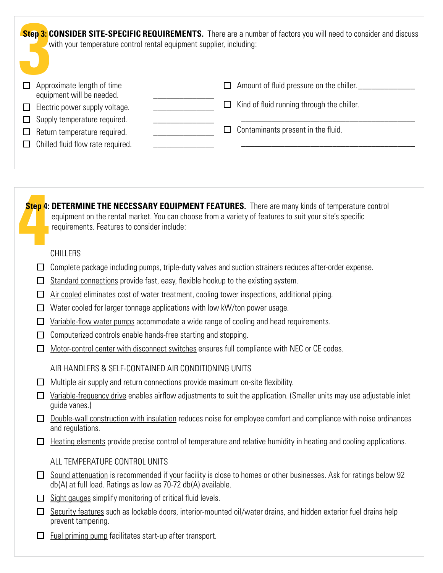| with your temperature control rental equipment supplier, including:                                                                                                                                                                                      | <b>Step 3: CONSIDER SITE-SPECIFIC REQUIREMENTS.</b> There are a number of factors you will need to consider and discuss |  |
|----------------------------------------------------------------------------------------------------------------------------------------------------------------------------------------------------------------------------------------------------------|-------------------------------------------------------------------------------------------------------------------------|--|
| $\Box$ Approximate length of time<br>equipment will be needed.                                                                                                                                                                                           | $\Box$ Amount of fluid pressure on the chiller.                                                                         |  |
| $\Box$ Electric power supply voltage.                                                                                                                                                                                                                    | $\Box$ Kind of fluid running through the chiller.                                                                       |  |
| $\Box$ Supply temperature required.                                                                                                                                                                                                                      |                                                                                                                         |  |
| $\Box$ Return temperature required.                                                                                                                                                                                                                      | $\Box$ Contaminants present in the fluid.                                                                               |  |
| $\Box$ Chilled fluid flow rate required.                                                                                                                                                                                                                 |                                                                                                                         |  |
|                                                                                                                                                                                                                                                          |                                                                                                                         |  |
|                                                                                                                                                                                                                                                          |                                                                                                                         |  |
| Step 4: DETERMINE THE NECESSARY EQUIPMENT FEATURES. There are many kinds of temperature control<br>equipment on the rental market. You can choose from a variety of features to suit your site's specific<br>requirements. Features to consider include: |                                                                                                                         |  |
| CHILLERS                                                                                                                                                                                                                                                 |                                                                                                                         |  |
|                                                                                                                                                                                                                                                          |                                                                                                                         |  |

- $\Box$  Standard connections provide fast, easy, flexible hookup to the existing system.
- $\Box$  Air cooled eliminates cost of water treatment, cooling tower inspections, additional piping.
- $\Box$  Water cooled for larger tonnage applications with low kW/ton power usage.
- $\Box$  Variable-flow water pumps accommodate a wide range of cooling and head requirements.
- $\Box$  Computerized controls enable hands-free starting and stopping.
- $\Box$  Motor-control center with disconnect switches ensures full compliance with NEC or CE codes.

AIR HANDLERS & SELF-CONTAINED AIR CONDITIONING UNITS

- $\Box$  Multiple air supply and return connections provide maximum on-site flexibility.
- $\Box$  Variable-frequency drive enables airflow adjustments to suit the application. (Smaller units may use adjustable inlet guide vanes.)
- $\Box$  Double-wall construction with insulation reduces noise for employee comfort and compliance with noise ordinances and regulations.
- $\Box$  Heating elements provide precise control of temperature and relative humidity in heating and cooling applications.

ALL TEMPERATURE CONTROL UNITS

- $\Box$  Sound attenuation is recommended if your facility is close to homes or other businesses. Ask for ratings below 92 db(A) at full load. Ratings as low as 70-72 db(A) available.
- $\Box$  Sight gauges simplify monitoring of critical fluid levels.
- $\square$  Security features such as lockable doors, interior-mounted oil/water drains, and hidden exterior fuel drains help prevent tampering.
- $\Box$  Fuel priming pump facilitates start-up after transport.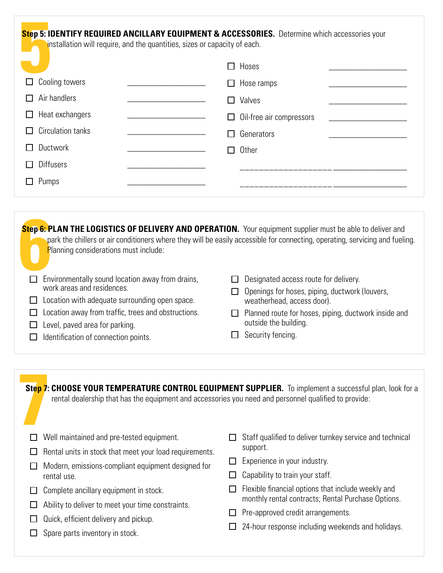| Step 5: IDENTIFY REQUIRED ANCILLARY EQUIPMENT & ACCESSORIES. Determine which accessories your<br>installation will require, and the quantities, sizes or capacity of each. |  |                               |  |  |
|----------------------------------------------------------------------------------------------------------------------------------------------------------------------------|--|-------------------------------|--|--|
|                                                                                                                                                                            |  | Hoses<br>$\Box$               |  |  |
| Cooling towers                                                                                                                                                             |  | Hose ramps<br>⊔               |  |  |
| Air handlers                                                                                                                                                               |  | Valves                        |  |  |
| Heat exchangers                                                                                                                                                            |  | Oil-free air compressors<br>П |  |  |
| Circulation tanks                                                                                                                                                          |  | Generators                    |  |  |
| Ductwork                                                                                                                                                                   |  | Other                         |  |  |
| <b>Diffusers</b>                                                                                                                                                           |  |                               |  |  |
| Pumps                                                                                                                                                                      |  |                               |  |  |
|                                                                                                                                                                            |  |                               |  |  |

| Step 6: PLAN THE LOGISTICS OF DELIVERY AND OPERATION. Your equipment supplier must be able to deliver and<br><b>Planning considerations must include:</b><br>$\Box$ Environmentally sound location away from drains,<br>work areas and residences.<br>$\Box$ Location with adequate surrounding open space.<br>$\Box$ Location away from traffic, trees and obstructions.<br>$\Box$ Level, paved area for parking.<br>$\Box$ Identification of connection points. | park the chillers or air conditioners where they will be easily accessible for connecting, operating, servicing and fueling.<br>$\Box$ Designated access route for delivery.<br>$\Box$ Openings for hoses, piping, ductwork (louvers,<br>weatherhead, access door).<br>$\Box$ Planned route for hoses, piping, ductwork inside and<br>outside the building.<br>$\Box$ Security fencing. |
|-------------------------------------------------------------------------------------------------------------------------------------------------------------------------------------------------------------------------------------------------------------------------------------------------------------------------------------------------------------------------------------------------------------------------------------------------------------------|-----------------------------------------------------------------------------------------------------------------------------------------------------------------------------------------------------------------------------------------------------------------------------------------------------------------------------------------------------------------------------------------|

| rental dealership that has the equipment and accessories you need and personnel qualified to provide: | Step 7: CHOOSE YOUR TEMPERATURE CONTROL EQUIPMENT SUPPLIER. To implement a successful plan, look for a |
|-------------------------------------------------------------------------------------------------------|--------------------------------------------------------------------------------------------------------|
| Well maintained and pre-tested equipment.                                                             | Staff qualified to deliver turnkey service and technical                                               |
| Rental units in stock that meet your load requirements.                                               | support.                                                                                               |
| Modern, emissions-compliant equipment designed for                                                    | Experience in your industry.                                                                           |
| rental use.                                                                                           | Capability to train your staff.                                                                        |
| Complete ancillary equipment in stock.                                                                | Flexible financial options that include weekly and                                                     |
| Ability to deliver to meet your time constraints.                                                     | monthly rental contracts; Rental Purchase Options.                                                     |
| Quick, efficient delivery and pickup.                                                                 | Pre-approved credit arrangements.                                                                      |
| Spare parts inventory in stock.                                                                       | 24-hour response including weekends and holidays.                                                      |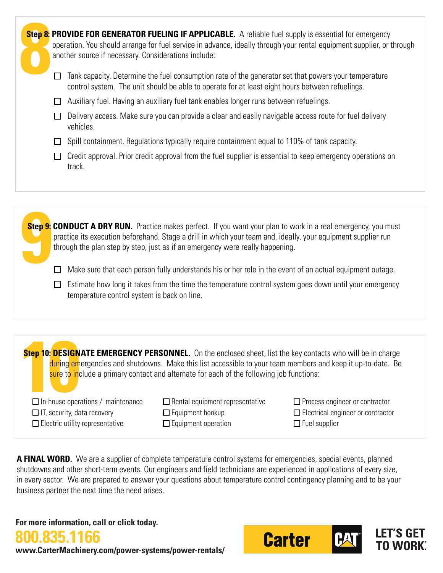| Step 8: PROVIDE FOR GENERATOR FUELING IF APPLICABLE. A reliable fuel supply is essential for emergency<br>operation. You should arrange for fuel service in advance, ideally through your rental equipment supplier, or through<br>another source if necessary. Considerations include: |                                                                                                                                                                                                         |  |  |  |  |  |
|-----------------------------------------------------------------------------------------------------------------------------------------------------------------------------------------------------------------------------------------------------------------------------------------|---------------------------------------------------------------------------------------------------------------------------------------------------------------------------------------------------------|--|--|--|--|--|
| l 1                                                                                                                                                                                                                                                                                     | Tank capacity. Determine the fuel consumption rate of the generator set that powers your temperature<br>control system. The unit should be able to operate for at least eight hours between refuelings. |  |  |  |  |  |
|                                                                                                                                                                                                                                                                                         | Auxiliary fuel. Having an auxiliary fuel tank enables longer runs between refuelings.                                                                                                                   |  |  |  |  |  |
|                                                                                                                                                                                                                                                                                         | Delivery access. Make sure you can provide a clear and easily navigable access route for fuel delivery<br>vehicles.                                                                                     |  |  |  |  |  |
|                                                                                                                                                                                                                                                                                         | Spill containment. Regulations typically require containment equal to 110% of tank capacity.                                                                                                            |  |  |  |  |  |
| ப                                                                                                                                                                                                                                                                                       | Credit approval. Prior credit approval from the fuel supplier is essential to keep emergency operations on<br>track.                                                                                    |  |  |  |  |  |
|                                                                                                                                                                                                                                                                                         |                                                                                                                                                                                                         |  |  |  |  |  |

**Step 9: Step 9: CONDUCT A DRY RUN.** Practice makes perfect. If you want your plan to work in a real emergency, you must practice its execution beforehand. Stage a drill in which your team and, ideally, your equipment supplier run through the plan step by step, just as if an emergency were really happening.

 $\Box$  Make sure that each person fully understands his or her role in the event of an actual equipment outage.

 $\Box$  Estimate how long it takes from the time the temperature control system goes down until your emergency temperature control system is back on line.

**Step 10: DESIGNATE EMERGENCY PERSONNEL.** On the enclosed sheet, list the key contacts who will be in charge during emergencies and shutdowns. Make this list accessible to your team members and keep it up-to-date. Be sure to include a primary contact and alternate for each of the following job functions:

 $\Box$  In-house operations / maintenance  $\Box$  IT, security, data recovery  $\square$  Electric utility representative

 $\Box$  Rental equipment representative  $\Box$  Equipment hookup

 $\square$  Equipment operation

Process engineer or contractor □ Electrical engineer or contractor  $\Box$  Fuel supplier

**A FINAL WORD.** We are a supplier of complete temperature control systems for emergencies, special events, planned shutdowns and other short-term events. Our engineers and field technicians are experienced in applications of every size, in every sector. We are prepared to answer your questions about temperature control contingency planning and to be your business partner the next time the need arises.

**For more information, call or click today.**



**800.835.1166 www.CarterMachinery.com/power-systems/power-rentals/**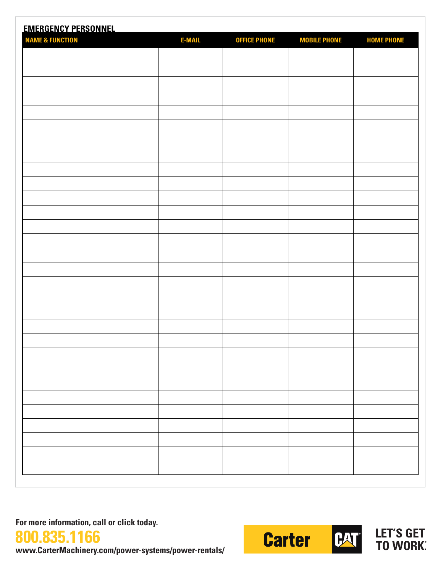| <b>EMERGENCY PERSONNEL</b><br><b>NAME &amp; FUNCTION</b> | <b>E-MAIL</b> |                     |                     |                   |
|----------------------------------------------------------|---------------|---------------------|---------------------|-------------------|
|                                                          |               | <b>OFFICE PHONE</b> | <b>MOBILE PHONE</b> | <b>HOME PHONE</b> |
|                                                          |               |                     |                     |                   |
|                                                          |               |                     |                     |                   |
|                                                          |               |                     |                     |                   |
|                                                          |               |                     |                     |                   |
|                                                          |               |                     |                     |                   |
|                                                          |               |                     |                     |                   |
|                                                          |               |                     |                     |                   |
|                                                          |               |                     |                     |                   |
|                                                          |               |                     |                     |                   |
|                                                          |               |                     |                     |                   |
|                                                          |               |                     |                     |                   |
|                                                          |               |                     |                     |                   |
|                                                          |               |                     |                     |                   |
|                                                          |               |                     |                     |                   |
|                                                          |               |                     |                     |                   |
|                                                          |               |                     |                     |                   |
|                                                          |               |                     |                     |                   |
|                                                          |               |                     |                     |                   |
|                                                          |               |                     |                     |                   |
|                                                          |               |                     |                     |                   |
|                                                          |               |                     |                     |                   |
|                                                          |               |                     |                     |                   |
|                                                          |               |                     |                     |                   |
|                                                          |               |                     |                     |                   |
|                                                          |               |                     |                     |                   |
|                                                          |               |                     |                     |                   |
|                                                          |               |                     |                     |                   |
|                                                          |               |                     |                     |                   |
|                                                          |               |                     |                     |                   |
|                                                          |               |                     |                     |                   |

**For more information, call or click today.**